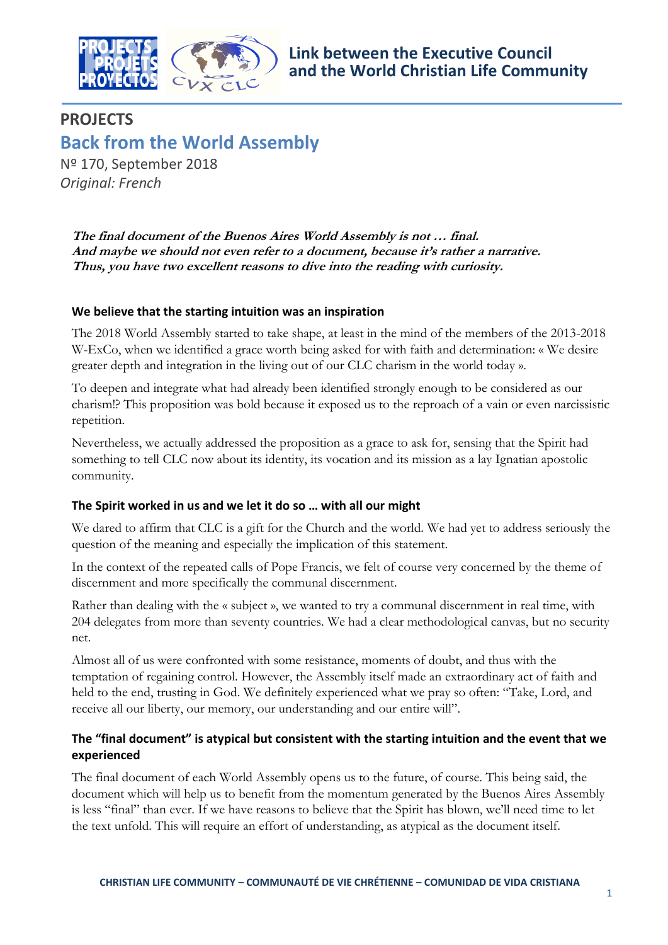

# **PROJECTS Back from the World Assembly**

Nº 170, September 2018 *Original: French*

**The final document of the Buenos Aires World Assembly is not … final. And maybe we should not even refer to a document, because it's rather a narrative. Thus, you have two excellent reasons to dive into the reading with curiosity.**

### **We believe that the starting intuition was an inspiration**

The 2018 World Assembly started to take shape, at least in the mind of the members of the 2013-2018 W-ExCo, when we identified a grace worth being asked for with faith and determination: « We desire greater depth and integration in the living out of our CLC charism in the world today ».

To deepen and integrate what had already been identified strongly enough to be considered as our charism!? This proposition was bold because it exposed us to the reproach of a vain or even narcissistic repetition.

Nevertheless, we actually addressed the proposition as a grace to ask for, sensing that the Spirit had something to tell CLC now about its identity, its vocation and its mission as a lay Ignatian apostolic community.

# **The Spirit worked in us and we let it do so … with all our might**

We dared to affirm that CLC is a gift for the Church and the world. We had yet to address seriously the question of the meaning and especially the implication of this statement.

In the context of the repeated calls of Pope Francis, we felt of course very concerned by the theme of discernment and more specifically the communal discernment.

Rather than dealing with the « subject », we wanted to try a communal discernment in real time, with 204 delegates from more than seventy countries. We had a clear methodological canvas, but no security net.

Almost all of us were confronted with some resistance, moments of doubt, and thus with the temptation of regaining control. However, the Assembly itself made an extraordinary act of faith and held to the end, trusting in God. We definitely experienced what we pray so often: "Take, Lord, and receive all our liberty, our memory, our understanding and our entire will".

# **The "final document" is atypical but consistent with the starting intuition and the event that we experienced**

The final document of each World Assembly opens us to the future, of course. This being said, the document which will help us to benefit from the momentum generated by the Buenos Aires Assembly is less "final" than ever. If we have reasons to believe that the Spirit has blown, we'll need time to let the text unfold. This will require an effort of understanding, as atypical as the document itself.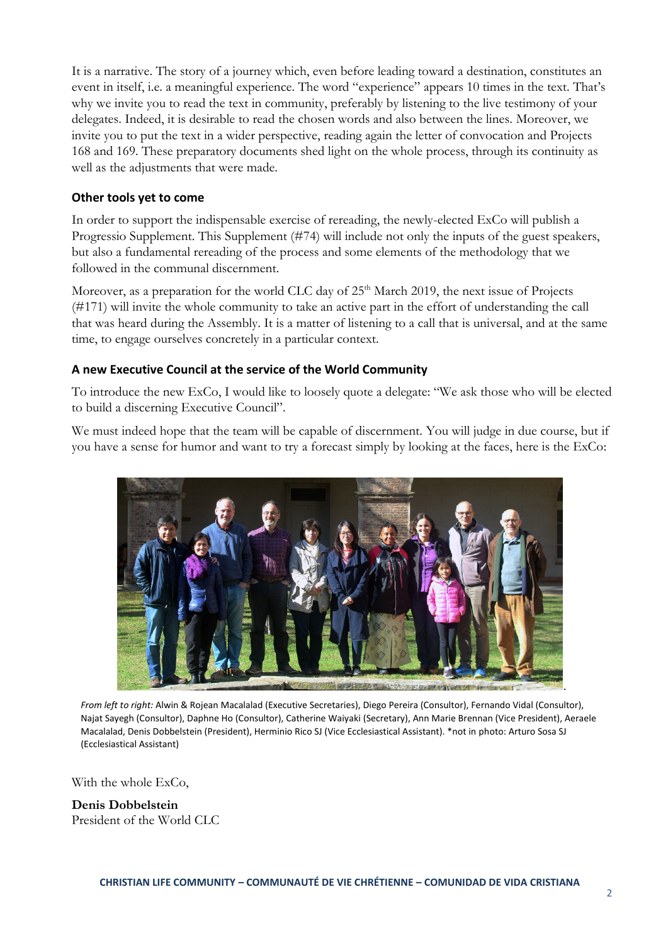It is a narrative. The story of a journey which, even before leading toward a destination, constitutes an event in itself, i.e. a meaningful experience. The word "experience" appears 10 times in the text. That's why we invite you to read the text in community, preferably by listening to the live testimony of your delegates. Indeed, it is desirable to read the chosen words and also between the lines. Moreover, we invite you to put the text in a wider perspective, reading again the letter of convocation and Projects 168 and 169. These preparatory documents shed light on the whole process, through its continuity as well as the adjustments that were made.

### **Other tools yet to come**

In order to support the indispensable exercise of rereading, the newly-elected ExCo will publish a Progressio Supplement. This Supplement (#74) will include not only the inputs of the guest speakers, but also a fundamental rereading of the process and some elements of the methodology that we followed in the communal discernment.

Moreover, as a preparation for the world CLC day of 25<sup>th</sup> March 2019, the next issue of Projects (#171) will invite the whole community to take an active part in the effort of understanding the call that was heard during the Assembly. It is a matter of listening to a call that is universal, and at the same time, to engage ourselves concretely in a particular context.

# **A new Executive Council at the service of the World Community**

To introduce the new ExCo, I would like to loosely quote a delegate: "We ask those who will be elected to build a discerning Executive Council".

We must indeed hope that the team will be capable of discernment. You will judge in due course, but if you have a sense for humor and want to try a forecast simply by looking at the faces, here is the ExCo:



*From left to right:* Alwin & Rojean Macalalad (Executive Secretaries), Diego Pereira (Consultor), Fernando Vidal (Consultor), Najat Sayegh (Consultor), Daphne Ho (Consultor), Catherine Waiyaki (Secretary), Ann Marie Brennan (Vice President), Aeraele Macalalad, Denis Dobbelstein (President), Herminio Rico SJ (Vice Ecclesiastical Assistant). \*not in photo: Arturo Sosa SJ (Ecclesiastical Assistant)

With the whole ExCo,

**Denis Dobbelstein** President of the World CLC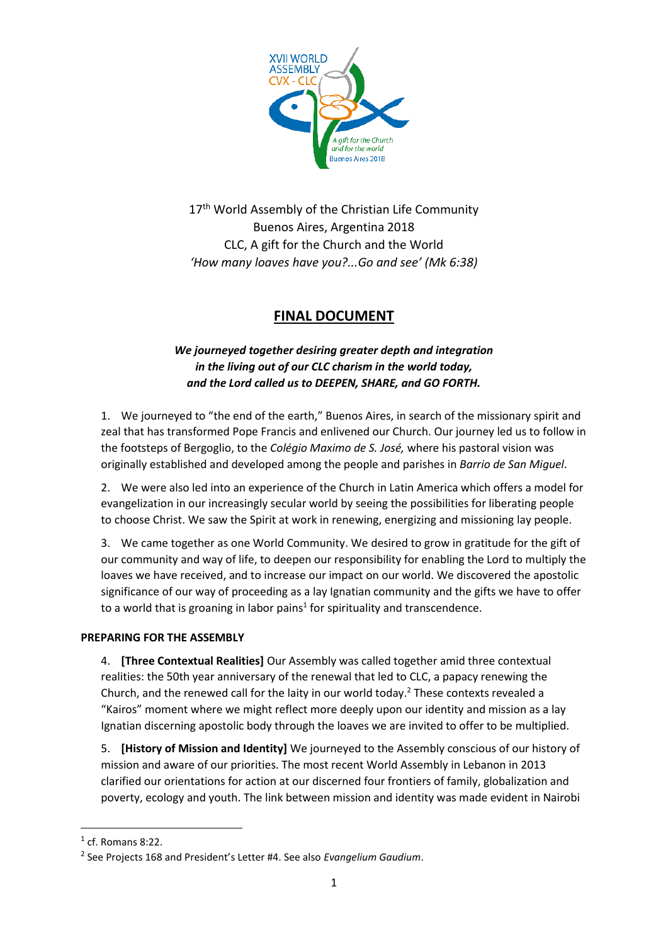

17<sup>th</sup> World Assembly of the Christian Life Community Buenos Aires, Argentina 2018 CLC, A gift for the Church and the World *'How many loaves have you?...Go and see' (Mk 6:38)*

# **FINAL DOCUMENT**

# *We journeyed together desiring greater depth and integration in the living out of our CLC charism in the world today, and the Lord called us to DEEPEN, SHARE, and GO FORTH.*

1. We journeyed to "the end of the earth," Buenos Aires, in search of the missionary spirit and zeal that has transformed Pope Francis and enlivened our Church. Our journey led us to follow in the footsteps of Bergoglio, to the *Colégio Maximo de S. José,* where his pastoral vision was originally established and developed among the people and parishes in *Barrio de San Miguel*.

2. We were also led into an experience of the Church in Latin America which offers a model for evangelization in our increasingly secular world by seeing the possibilities for liberating people to choose Christ. We saw the Spirit at work in renewing, energizing and missioning lay people.

3. We came together as one World Community. We desired to grow in gratitude for the gift of our community and way of life, to deepen our responsibility for enabling the Lord to multiply the loaves we have received, and to increase our impact on our world. We discovered the apostolic significance of our way of proceeding as a lay Ignatian community and the gifts we have to offer to a world that is groaning in labor pains<sup>1</sup> for spirituality and transcendence.

### **PREPARING FOR THE ASSEMBLY**

4. **[Three Contextual Realities]** Our Assembly was called together amid three contextual realities: the 50th year anniversary of the renewal that led to CLC, a papacy renewing the Church, and the renewed call for the laity in our world today.<sup>2</sup> These contexts revealed a "Kairos" moment where we might reflect more deeply upon our identity and mission as a lay Ignatian discerning apostolic body through the loaves we are invited to offer to be multiplied.

5. **[History of Mission and Identity]** We journeyed to the Assembly conscious of our history of mission and aware of our priorities. The most recent World Assembly in Lebanon in 2013 clarified our orientations for action at our discerned four frontiers of family, globalization and poverty, ecology and youth. The link between mission and identity was made evident in Nairobi

**.** 

 $<sup>1</sup>$  cf. Romans 8:22.</sup>

<sup>2</sup> See Projects 168 and President's Letter #4. See also *Evangelium Gaudium*.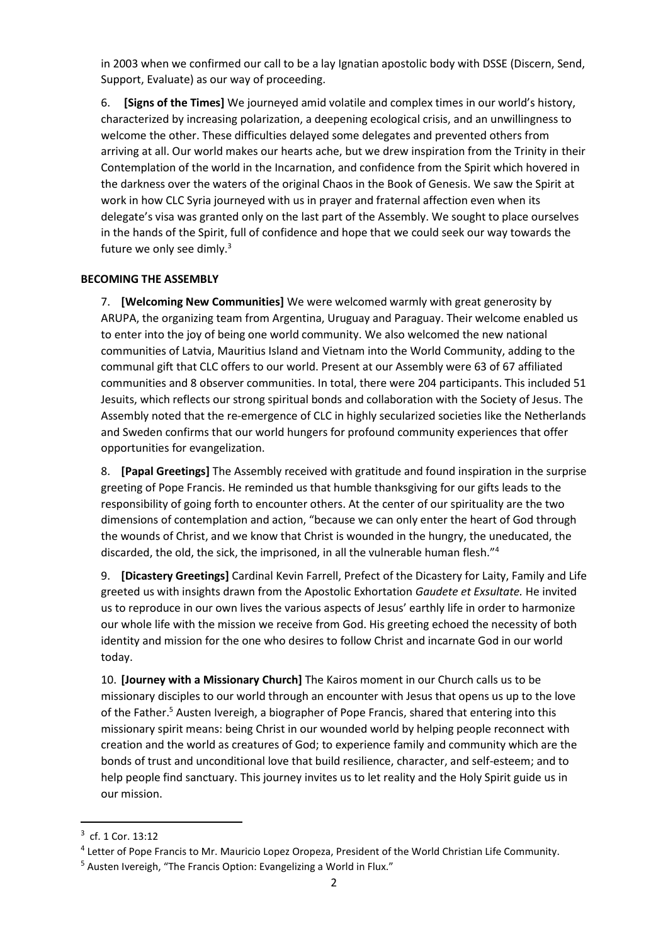in 2003 when we confirmed our call to be a lay Ignatian apostolic body with DSSE (Discern, Send, Support, Evaluate) as our way of proceeding.

6. **[Signs of the Times]** We journeyed amid volatile and complex times in our world's history, characterized by increasing polarization, a deepening ecological crisis, and an unwillingness to welcome the other. These difficulties delayed some delegates and prevented others from arriving at all. Our world makes our hearts ache, but we drew inspiration from the Trinity in their Contemplation of the world in the Incarnation, and confidence from the Spirit which hovered in the darkness over the waters of the original Chaos in the Book of Genesis. We saw the Spirit at work in how CLC Syria journeyed with us in prayer and fraternal affection even when its delegate's visa was granted only on the last part of the Assembly. We sought to place ourselves in the hands of the Spirit, full of confidence and hope that we could seek our way towards the future we only see dimly.<sup>3</sup>

### **BECOMING THE ASSEMBLY**

7. **[Welcoming New Communities]** We were welcomed warmly with great generosity by ARUPA, the organizing team from Argentina, Uruguay and Paraguay. Their welcome enabled us to enter into the joy of being one world community. We also welcomed the new national communities of Latvia, Mauritius Island and Vietnam into the World Community, adding to the communal gift that CLC offers to our world. Present at our Assembly were 63 of 67 affiliated communities and 8 observer communities. In total, there were 204 participants. This included 51 Jesuits, which reflects our strong spiritual bonds and collaboration with the Society of Jesus. The Assembly noted that the re-emergence of CLC in highly secularized societies like the Netherlands and Sweden confirms that our world hungers for profound community experiences that offer opportunities for evangelization.

8. **[Papal Greetings]** The Assembly received with gratitude and found inspiration in the surprise greeting of Pope Francis. He reminded us that humble thanksgiving for our gifts leads to the responsibility of going forth to encounter others. At the center of our spirituality are the two dimensions of contemplation and action, "because we can only enter the heart of God through the wounds of Christ, and we know that Christ is wounded in the hungry, the uneducated, the discarded, the old, the sick, the imprisoned, in all the vulnerable human flesh."<sup>4</sup>

9. **[Dicastery Greetings]** Cardinal Kevin Farrell, Prefect of the Dicastery for Laity, Family and Life greeted us with insights drawn from the Apostolic Exhortation *Gaudete et Exsultate.* He invited us to reproduce in our own lives the various aspects of Jesus' earthly life in order to harmonize our whole life with the mission we receive from God. His greeting echoed the necessity of both identity and mission for the one who desires to follow Christ and incarnate God in our world today.

10. **[Journey with a Missionary Church]** The Kairos moment in our Church calls us to be missionary disciples to our world through an encounter with Jesus that opens us up to the love of the Father.<sup>5</sup> Austen Ivereigh, a biographer of Pope Francis, shared that entering into this missionary spirit means: being Christ in our wounded world by helping people reconnect with creation and the world as creatures of God; to experience family and community which are the bonds of trust and unconditional love that build resilience, character, and self-esteem; and to help people find sanctuary. This journey invites us to let reality and the Holy Spirit guide us in our mission.

**.** 

<sup>&</sup>lt;sup>3</sup> cf. 1 Cor. 13:12

<sup>&</sup>lt;sup>4</sup> Letter of Pope Francis to Mr. Mauricio Lopez Oropeza, President of the World Christian Life Community.

<sup>5</sup> Austen Ivereigh, "The Francis Option: Evangelizing a World in Flux."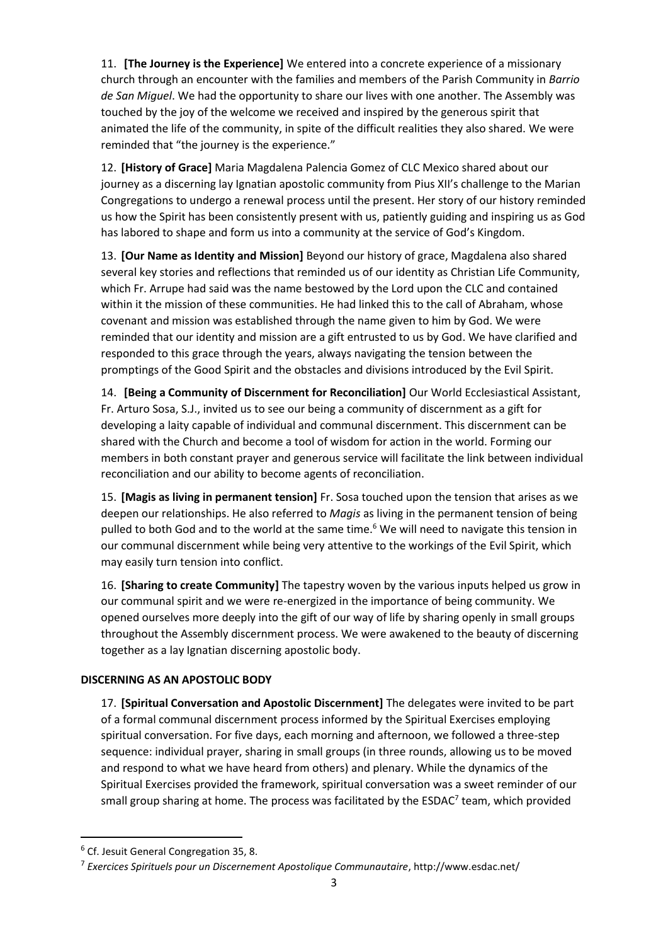11. **[The Journey is the Experience]** We entered into a concrete experience of a missionary church through an encounter with the families and members of the Parish Community in *Barrio de San Miguel*. We had the opportunity to share our lives with one another. The Assembly was touched by the joy of the welcome we received and inspired by the generous spirit that animated the life of the community, in spite of the difficult realities they also shared. We were reminded that "the journey is the experience."

12. **[History of Grace]** Maria Magdalena Palencia Gomez of CLC Mexico shared about our journey as a discerning lay Ignatian apostolic community from Pius XII's challenge to the Marian Congregations to undergo a renewal process until the present. Her story of our history reminded us how the Spirit has been consistently present with us, patiently guiding and inspiring us as God has labored to shape and form us into a community at the service of God's Kingdom.

13. **[Our Name as Identity and Mission]** Beyond our history of grace, Magdalena also shared several key stories and reflections that reminded us of our identity as Christian Life Community, which Fr. Arrupe had said was the name bestowed by the Lord upon the CLC and contained within it the mission of these communities. He had linked this to the call of Abraham, whose covenant and mission was established through the name given to him by God. We were reminded that our identity and mission are a gift entrusted to us by God. We have clarified and responded to this grace through the years, always navigating the tension between the promptings of the Good Spirit and the obstacles and divisions introduced by the Evil Spirit.

14. **[Being a Community of Discernment for Reconciliation]** Our World Ecclesiastical Assistant, Fr. Arturo Sosa, S.J., invited us to see our being a community of discernment as a gift for developing a laity capable of individual and communal discernment. This discernment can be shared with the Church and become a tool of wisdom for action in the world. Forming our members in both constant prayer and generous service will facilitate the link between individual reconciliation and our ability to become agents of reconciliation.

15. **[Magis as living in permanent tension]** Fr. Sosa touched upon the tension that arises as we deepen our relationships. He also referred to *Magis* as living in the permanent tension of being pulled to both God and to the world at the same time.<sup>6</sup> We will need to navigate this tension in our communal discernment while being very attentive to the workings of the Evil Spirit, which may easily turn tension into conflict.

16. **[Sharing to create Community]** The tapestry woven by the various inputs helped us grow in our communal spirit and we were re-energized in the importance of being community. We opened ourselves more deeply into the gift of our way of life by sharing openly in small groups throughout the Assembly discernment process. We were awakened to the beauty of discerning together as a lay Ignatian discerning apostolic body.

### **DISCERNING AS AN APOSTOLIC BODY**

17. **[Spiritual Conversation and Apostolic Discernment]** The delegates were invited to be part of a formal communal discernment process informed by the Spiritual Exercises employing spiritual conversation. For five days, each morning and afternoon, we followed a three-step sequence: individual prayer, sharing in small groups (in three rounds, allowing us to be moved and respond to what we have heard from others) and plenary. While the dynamics of the Spiritual Exercises provided the framework, spiritual conversation was a sweet reminder of our small group sharing at home. The process was facilitated by the ESDAC<sup>7</sup> team, which provided

**.** 

<sup>6</sup> Cf. Jesuit General Congregation 35, 8.

<sup>7</sup> *Exercices Spirituels pour un Discernement Apostolique Communautaire*, http://www.esdac.net/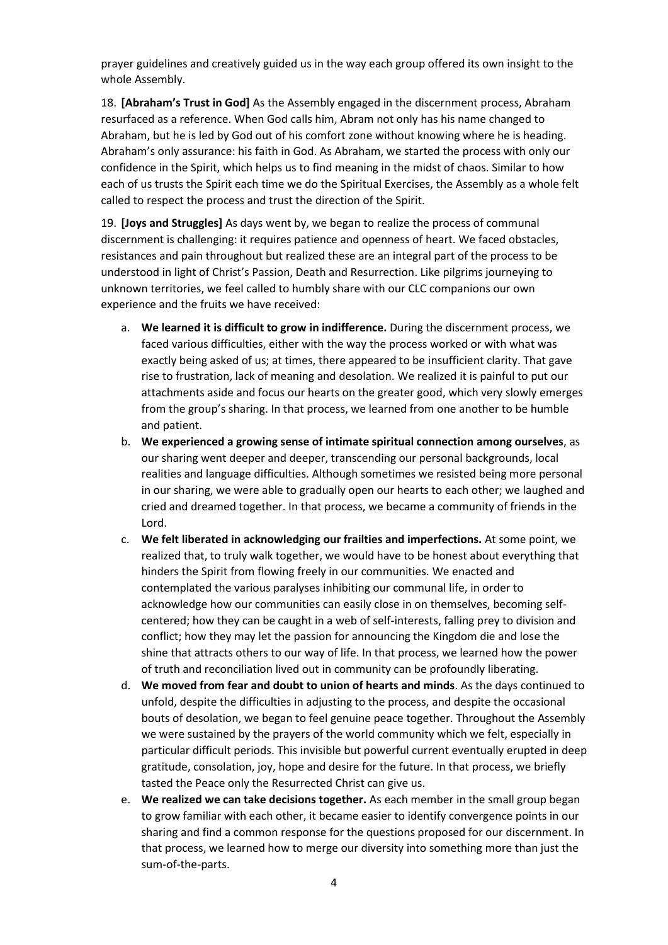prayer guidelines and creatively guided us in the way each group offered its own insight to the whole Assembly.

18. **[Abraham's Trust in God]** As the Assembly engaged in the discernment process, Abraham resurfaced as a reference. When God calls him, Abram not only has his name changed to Abraham, but he is led by God out of his comfort zone without knowing where he is heading. Abraham's only assurance: his faith in God. As Abraham, we started the process with only our confidence in the Spirit, which helps us to find meaning in the midst of chaos. Similar to how each of us trusts the Spirit each time we do the Spiritual Exercises, the Assembly as a whole felt called to respect the process and trust the direction of the Spirit.

19. **[Joys and Struggles]** As days went by, we began to realize the process of communal discernment is challenging: it requires patience and openness of heart. We faced obstacles, resistances and pain throughout but realized these are an integral part of the process to be understood in light of Christ's Passion, Death and Resurrection. Like pilgrims journeying to unknown territories, we feel called to humbly share with our CLC companions our own experience and the fruits we have received:

- a. **We learned it is difficult to grow in indifference.** During the discernment process, we faced various difficulties, either with the way the process worked or with what was exactly being asked of us; at times, there appeared to be insufficient clarity. That gave rise to frustration, lack of meaning and desolation. We realized it is painful to put our attachments aside and focus our hearts on the greater good, which very slowly emerges from the group's sharing. In that process, we learned from one another to be humble and patient.
- b. **We experienced a growing sense of intimate spiritual connection among ourselves**, as our sharing went deeper and deeper, transcending our personal backgrounds, local realities and language difficulties. Although sometimes we resisted being more personal in our sharing, we were able to gradually open our hearts to each other; we laughed and cried and dreamed together. In that process, we became a community of friends in the Lord.
- c. **We felt liberated in acknowledging our frailties and imperfections.** At some point, we realized that, to truly walk together, we would have to be honest about everything that hinders the Spirit from flowing freely in our communities. We enacted and contemplated the various paralyses inhibiting our communal life, in order to acknowledge how our communities can easily close in on themselves, becoming selfcentered; how they can be caught in a web of self-interests, falling prey to division and conflict; how they may let the passion for announcing the Kingdom die and lose the shine that attracts others to our way of life. In that process, we learned how the power of truth and reconciliation lived out in community can be profoundly liberating.
- d. **We moved from fear and doubt to union of hearts and minds**. As the days continued to unfold, despite the difficulties in adjusting to the process, and despite the occasional bouts of desolation, we began to feel genuine peace together. Throughout the Assembly we were sustained by the prayers of the world community which we felt, especially in particular difficult periods. This invisible but powerful current eventually erupted in deep gratitude, consolation, joy, hope and desire for the future. In that process, we briefly tasted the Peace only the Resurrected Christ can give us.
- e. **We realized we can take decisions together.** As each member in the small group began to grow familiar with each other, it became easier to identify convergence points in our sharing and find a common response for the questions proposed for our discernment. In that process, we learned how to merge our diversity into something more than just the sum-of-the-parts.